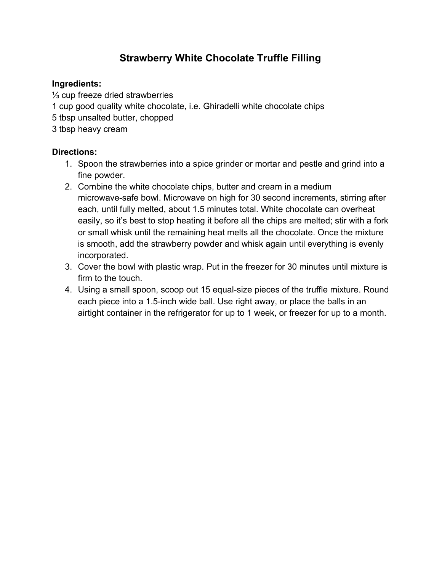# **Strawberry White Chocolate Truffle Filling**

## **Ingredients:**

⅓ cup freeze dried strawberries

- 1 cup good quality white chocolate, i.e. Ghiradelli white chocolate chips
- 5 tbsp unsalted butter, chopped
- 3 tbsp heavy cream

- 1. Spoon the strawberries into a spice grinder or mortar and pestle and grind into a fine powder.
- 2. Combine the white chocolate chips, butter and cream in a medium microwave-safe bowl. Microwave on high for 30 second increments, stirring after each, until fully melted, about 1.5 minutes total. White chocolate can overheat easily, so it's best to stop heating it before all the chips are melted; stir with a fork or small whisk until the remaining heat melts all the chocolate. Once the mixture is smooth, add the strawberry powder and whisk again until everything is evenly incorporated.
- 3. Cover the bowl with plastic wrap. Put in the freezer for 30 minutes until mixture is firm to the touch.
- 4. Using a small spoon, scoop out 15 equal-size pieces of the truffle mixture. Round each piece into a 1.5-inch wide ball. Use right away, or place the balls in an airtight container in the refrigerator for up to 1 week, or freezer for up to a month.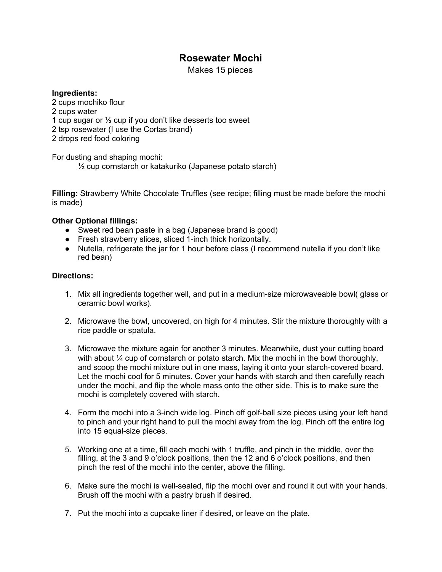## **Rosewater Mochi**

Makes 15 pieces

#### **Ingredients:**

 cups mochiko flour cups water cup sugar or ½ cup if you don't like desserts too sweet tsp rosewater (I use the Cortas brand) drops red food coloring

For dusting and shaping mochi:

½ cup cornstarch or katakuriko (Japanese potato starch)

**Filling:** Strawberry White Chocolate Truffles (see recipe; filling must be made before the mochi is made)

### **Other Optional fillings:**

- Sweet red bean paste in a bag (Japanese brand is good)
- Fresh strawberry slices, sliced 1-inch thick horizontally.
- Nutella, refrigerate the jar for 1 hour before class (I recommend nutella if you don't like red bean)

- 1. Mix all ingredients together well, and put in a medium-size microwaveable bowl( glass or ceramic bowl works).
- 2. Microwave the bowl, uncovered, on high for 4 minutes. Stir the mixture thoroughly with a rice paddle or spatula.
- 3. Microwave the mixture again for another 3 minutes. Meanwhile, dust your cutting board with about <sup>1/4</sup> cup of cornstarch or potato starch. Mix the mochi in the bowl thoroughly, and scoop the mochi mixture out in one mass, laying it onto your starch-covered board. Let the mochi cool for 5 minutes. Cover your hands with starch and then carefully reach under the mochi, and flip the whole mass onto the other side. This is to make sure the mochi is completely covered with starch.
- 4. Form the mochi into a 3-inch wide log. Pinch off golf-ball size pieces using your left hand to pinch and your right hand to pull the mochi away from the log. Pinch off the entire log into 15 equal-size pieces.
- 5. Working one at a time, fill each mochi with 1 truffle, and pinch in the middle, over the filling, at the 3 and 9 o'clock positions, then the 12 and 6 o'clock positions, and then pinch the rest of the mochi into the center, above the filling.
- 6. Make sure the mochi is well-sealed, flip the mochi over and round it out with your hands. Brush off the mochi with a pastry brush if desired.
- 7. Put the mochi into a cupcake liner if desired, or leave on the plate.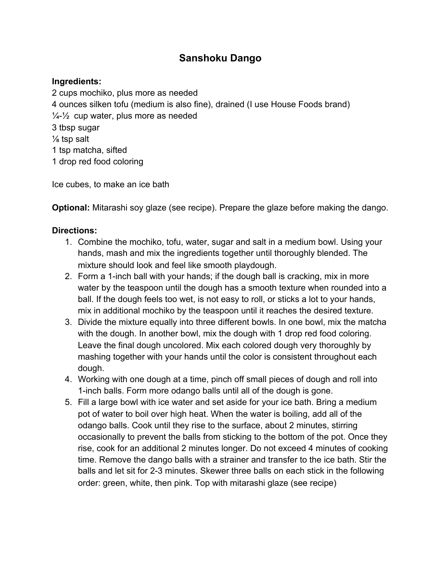## **Sanshoku Dango**

### **Ingredients:**

2 cups mochiko, plus more as needed 4 ounces silken tofu (medium is also fine), drained (I use House Foods brand)  $\frac{1}{4}$  cup water, plus more as needed 3 tbsp sugar ⅛ tsp salt 1 tsp matcha, sifted 1 drop red food coloring

Ice cubes, to make an ice bath

**Optional:** Mitarashi soy glaze (see recipe). Prepare the glaze before making the dango.

- 1. Combine the mochiko, tofu, water, sugar and salt in a medium bowl. Using your hands, mash and mix the ingredients together until thoroughly blended. The mixture should look and feel like smooth playdough.
- 2. Form a 1-inch ball with your hands; if the dough ball is cracking, mix in more water by the teaspoon until the dough has a smooth texture when rounded into a ball. If the dough feels too wet, is not easy to roll, or sticks a lot to your hands, mix in additional mochiko by the teaspoon until it reaches the desired texture.
- 3. Divide the mixture equally into three different bowls. In one bowl, mix the matcha with the dough. In another bowl, mix the dough with 1 drop red food coloring. Leave the final dough uncolored. Mix each colored dough very thoroughly by mashing together with your hands until the color is consistent throughout each dough.
- 4. Working with one dough at a time, pinch off small pieces of dough and roll into 1-inch balls. Form more odango balls until all of the dough is gone.
- 5. Fill a large bowl with ice water and set aside for your ice bath. Bring a medium pot of water to boil over high heat. When the water is boiling, add all of the odango balls. Cook until they rise to the surface, about 2 minutes, stirring occasionally to prevent the balls from sticking to the bottom of the pot. Once they rise, cook for an additional 2 minutes longer. Do not exceed 4 minutes of cooking time. Remove the dango balls with a strainer and transfer to the ice bath. Stir the balls and let sit for 2-3 minutes. Skewer three balls on each stick in the following order: green, white, then pink. Top with mitarashi glaze (see recipe)